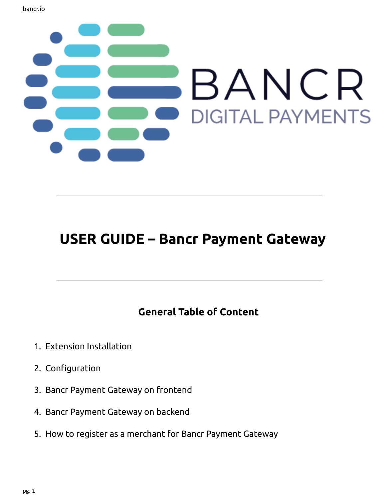

# **USER GUIDE – Bancr Payment Gateway**

## **General Table of Content**

- 1. Extension Installation
- 2. Configuration
- 3. Bancr Payment Gateway on frontend
- 4. Bancr Payment Gateway on backend
- 5. How to register as a merchant for Bancr Payment Gateway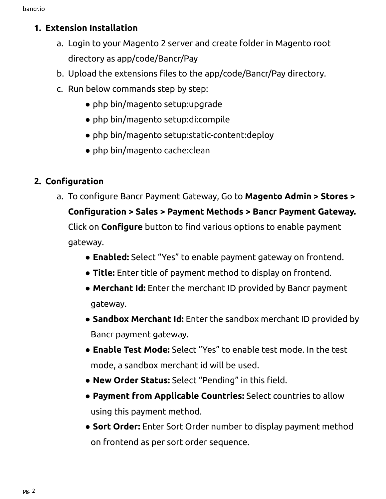### **1. Extension Installation**

- a. Login to your Magento 2 server and create folder in Magento root directory as app/code/Bancr/Pay
- b. Upload the extensions files to the app/code/Bancr/Pay directory.
- c. Run below commands step by step:
	- php bin/magento setup:upgrade
	- php bin/magento setup:di:compile
	- php bin/magento setup:static-content:deploy
	- php bin/magento cache:clean

## **2. Configuration**

a. To configure Bancr Payment Gateway, Go to **Magento Admin > Stores >**

**Configuration > Sales > Payment Methods > Bancr Payment Gateway.** Click on **Configure** button to find various options to enable payment gateway.

- **● Enabled:** Select "Yes" to enable payment gateway on frontend.
- **Title:** Enter title of payment method to display on frontend.
- **● Merchant Id:** Enter the merchant ID provided by Bancr payment gateway.
- **● Sandbox Merchant Id:** Enter the sandbox merchant ID provided by Bancr payment gateway.
- **● Enable Test Mode:** Select "Yes" to enable test mode. In the test mode, a sandbox merchant id will be used.
- **● New Order Status:** Select "Pending" in this field.
- **● Payment from Applicable Countries:** Select countries to allow using this payment method.
- **● Sort Order:** Enter Sort Order number to display payment method on frontend as per sort order sequence.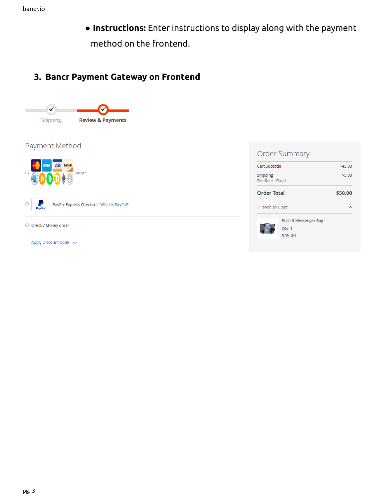**● Instructions:** Enter instructions to display along with the payment method on the frontend.

## **3. Bancr Payment Gateway on Frontend**



#### Payment Method





 $\circlearrowright$  Check / Money order

Apply Discount Code  $\sim$ 

|                                      | <b>Order Summary</b>                       |         |
|--------------------------------------|--------------------------------------------|---------|
| <b>Cart Subtotal</b>                 |                                            | \$45.00 |
| <b>Shipping</b><br>Flat Rate - Fixed |                                            | \$5.00  |
| <b>Order Total</b>                   |                                            | \$50.00 |
| 1 Item in Cart                       |                                            |         |
|                                      | Push It Messenger Bag<br>Qty: 1<br>\$45.00 |         |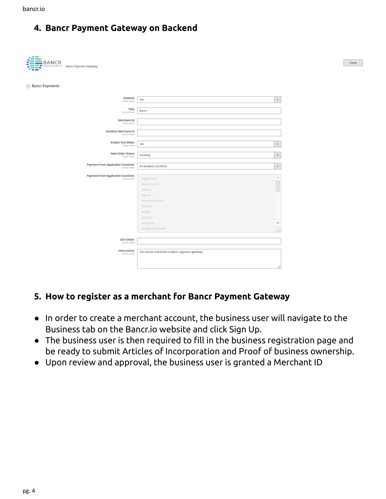#### **4. Bancr Payment Gateway on Backend**

| BANCR<br>DIGITAL PAYMENTS Bancr Payment Gateway.<br>٠<br>æ |                                                                                                                                                                                                        | Close |
|------------------------------------------------------------|--------------------------------------------------------------------------------------------------------------------------------------------------------------------------------------------------------|-------|
| <b>◎ Bancr Payments</b>                                    |                                                                                                                                                                                                        |       |
| Enabled<br>[store view]                                    | Yes<br>٠                                                                                                                                                                                               |       |
| Title<br>[store view]                                      | Bancr                                                                                                                                                                                                  |       |
| Merchant Id<br>[store view]                                |                                                                                                                                                                                                        |       |
| <b>Sandbox Merchant Id</b><br>[store view]                 |                                                                                                                                                                                                        |       |
| <b>Enable Test Mode</b><br>[store view]                    | Yes<br>٠                                                                                                                                                                                               |       |
| <b>New Order Status</b><br>[store view]                    | Pending<br>٠                                                                                                                                                                                           |       |
|                                                            |                                                                                                                                                                                                        |       |
| <b>Payment from Applicable Countries</b><br>[store view]   | <b>All Allowed Countries</b><br>٠                                                                                                                                                                      |       |
| <b>Payment from Applicable Countries</b><br>[store view]   | A.<br>Afghanistan<br>$\overline{\phantom{a}}$<br>Åland Islands<br>Albania<br>Algeria<br>American Samoa<br>Andorra<br>Angola<br>Anguilla<br>Antarctica<br>$\overline{\mathcal{M}}$<br>Antigua & Barbuda |       |
| Sort Order                                                 |                                                                                                                                                                                                        |       |
| [store view]<br>Instructions<br>[store view]               | You will be redirected to Bancr payment gateway.                                                                                                                                                       |       |

#### **5. How to register as a merchant for Bancr Payment Gateway**

- In order to create a merchant account, the business user will navigate to the Business tab on the Bancr.io website and click Sign Up.
- The business user is then required to fill in the business registration page and be ready to submit Articles of Incorporation and Proof of business ownership.
- Upon review and approval, the business user is granted a Merchant ID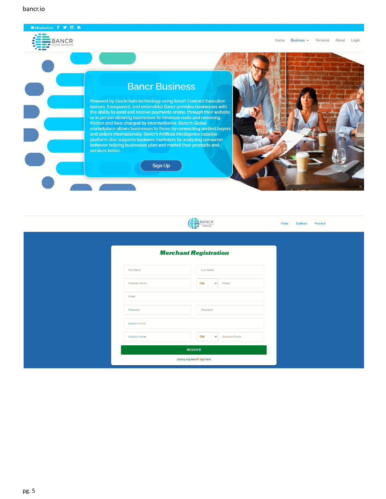bancr.io

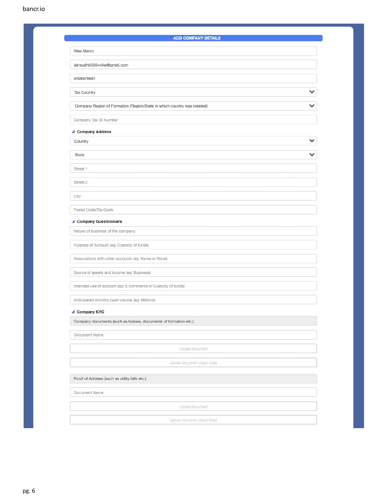| <b>ADD COMPANY DETAILS</b>                                              |  |
|-------------------------------------------------------------------------|--|
| Nike Merch                                                              |  |
| jainsudhir356+nike@gmail.com                                            |  |
| 9408879681                                                              |  |
|                                                                         |  |
| <b>Tax Country</b>                                                      |  |
| Company Region of Formation (Region/State in which country was created) |  |
| Company Tax ID Number                                                   |  |
| Company Address                                                         |  |
| Country                                                                 |  |
| State                                                                   |  |
| Street 1                                                                |  |
| Street 2                                                                |  |
| City                                                                    |  |
| Postal Code/Zip Code                                                    |  |
| Company Questionnaire                                                   |  |
| Nature of business of the company                                       |  |
| Purpose of Account (eg: Custody of funds)                               |  |
| Associations with other accounts (eg: Name or None)                     |  |
| Source of assets and income (eg: Business)                              |  |
| Intended use of account (eg: E-commerce or Custody of funds)            |  |
| Anticipated monthly cash volume (eg: Millions)                          |  |
| Company KYC                                                             |  |
| Company documents (such as bylaws, documents of formation etc.)         |  |
| Document Name                                                           |  |
| Upload document                                                         |  |
| Upload document (Back-Side)                                             |  |
| Proof of Address (such as utility bills etc.)                           |  |
| Document Name                                                           |  |
| Upload document                                                         |  |
|                                                                         |  |